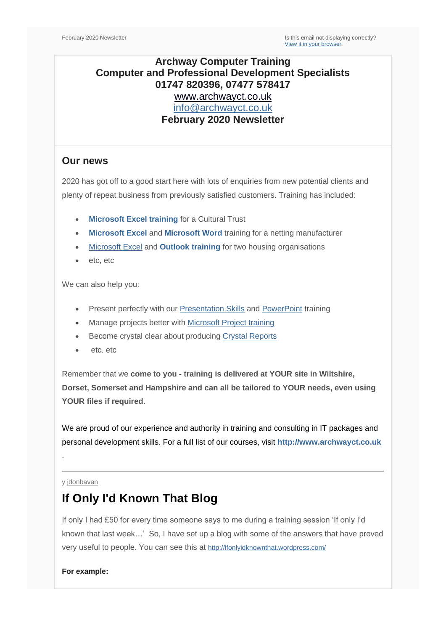## **Archway Computer Training Computer and Professional Development Specialists 01747 820396, 07477 578417** [www.archwayct.co.uk](http://www.archwayct.co.uk/) [info@archwayct.co.uk](mailto:%20info@archwayct.co.uk) **February 2020 Newsletter**

### **Our news**

2020 has got off to a good start here with lots of enquiries from new potential clients and plenty of repeat business from previously satisfied customers. Training has included:

- **[Microsoft Excel training](http://www.archwayct.co.uk/microsoft-office-training/microsoft-excel-training) for a Cultural Trust**
- **[Microsoft Excel](http://www.archwayct.microsoft-office-training/microsoft-excel-training)** and **[Microsoft Word](http://www.archwayct.co.uk/microsoft-office-training/microsoft-word-training)** training for a netting manufacturer
- [Microsoft Excel](http://www.archwayct.co.uk/microsoft-office-training/microsoft-excel-training) and **[Outlook training](http://www.archwayct.co.uk/microsoft-office-training/microsoft-outlook-training)** for two housing organisations
- etc, etc

We can also help you:

- Present perfectly with our [Presentation Skills](https://www.archwayct.co.uk/professional-development-training/presentation-skills-training) and [PowerPoint](https://www.archwayct.co.uk/microsoft-office-training/microsoft-powerpoint-training) training
- Manage projects better with [Microsoft Project training](https://www.archwayct.co.uk/it-training/microsoft-project-training)
- Become crystal clear about producing [Crystal Reports](http://www.archwayct.co.uk/it-training/crystal-reports-training)
- etc. etc.

Remember that we **come to you - training is delivered at YOUR site in Wiltshire, Dorset, Somerset and Hampshire and can all be tailored to YOUR needs, even using YOUR files if required**.

We are proud of our experience and authority in training and consulting in IT packages and personal development skills. For a full list of our courses, visit **[http://www.archwayct.co.uk](http://www.archwayct.co.uk/)**

#### y [jdonbavan](https://ifonlyidknownthat.wordpress.com/author/jdonbavand/)

.

## **If Only I'd Known That Blog**

If only I had £50 for every time someone says to me during a training session 'If only I'd known that last week…' So, I have set up a blog with some of the answers that have proved very useful to people. You can see this at <http://ifonlyidknownthat.wordpress.com/>

**For example:**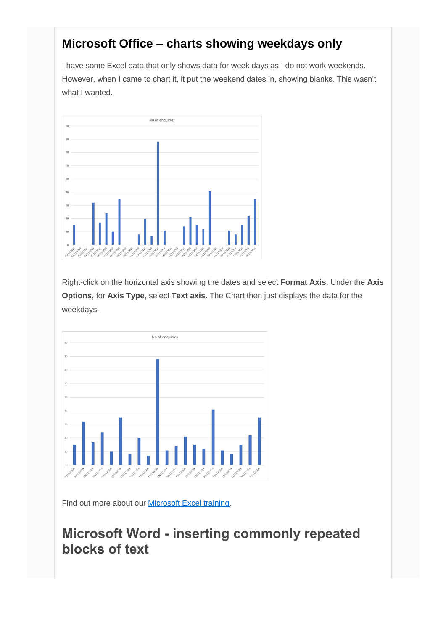## **Microsoft Office – charts showing weekdays only**

I have some Excel data that only shows data for week days as I do not work weekends. However, when I came to chart it, it put the weekend dates in, showing blanks. This wasn't what I wanted.



Right-click on the horizontal axis showing the dates and select **Format Axis**. Under the **Axis Options**, for **Axis Type**, select **Text axis**. The Chart then just displays the data for the weekdays.



Find out more about our **Microsoft Excel training**.

# **Microsoft Word - inserting commonly repeated blocks of text**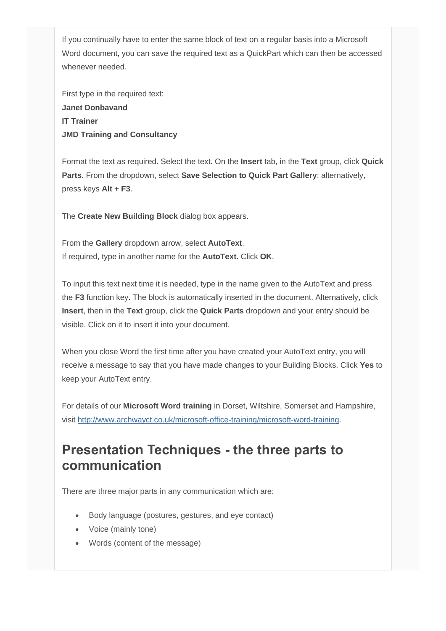If you continually have to enter the same block of text on a regular basis into a Microsoft Word document, you can save the required text as a QuickPart which can then be accessed whenever needed.

First type in the required text: **Janet Donbavand IT Trainer JMD Training and Consultancy**

Format the text as required. Select the text. On the **Insert** tab, in the **Text** group, click **Quick Parts**. From the dropdown, select **Save Selection to Quick Part Gallery**; alternatively, press keys **Alt + F3**.

The **Create New Building Block** dialog box appears.

From the **Gallery** dropdown arrow, select **AutoText**. If required, type in another name for the **AutoText**. Click **OK**.

To input this text next time it is needed, type in the name given to the AutoText and press the **F3** function key. The block is automatically inserted in the document. Alternatively, click **Insert**, then in the **Text** group, click the **Quick Parts** dropdown and your entry should be visible. Click on it to insert it into your document.

When you close Word the first time after you have created your AutoText entry, you will receive a message to say that you have made changes to your Building Blocks. Click **Yes** to keep your AutoText entry.

For details of our **Microsoft Word training** in Dorset, Wiltshire, Somerset and Hampshire, visit [http://www.archwayct.co.uk/microsoft-office-training/microsoft-word-training.](http://www.archwayct.co.uk/microsoft-office-training/microsoft-word-training)

# **Presentation Techniques - the three parts to communication**

There are three major parts in any communication which are:

- Body language (postures, gestures, and eye contact)
- Voice (mainly tone)
- Words (content of the message)